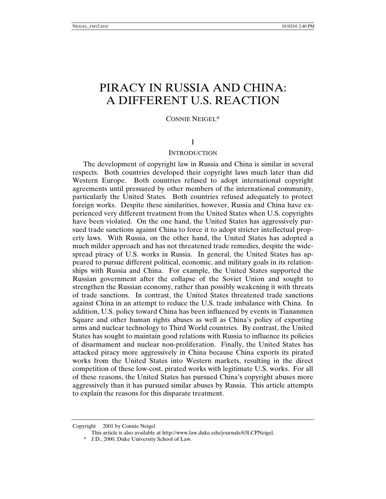# PIRACY IN RUSSIA AND CHINA: A DIFFERENT U.S. REACTION

CONNIE NEIGEL\*

# I

### **INTRODUCTION**

The development of copyright law in Russia and China is similar in several respects. Both countries developed their copyright laws much later than did Western Europe. Both countries refused to adopt international copyright agreements until pressured by other members of the international community, particularly the United States. Both countries refused adequately to protect foreign works. Despite these similarities, however, Russia and China have experienced very different treatment from the United States when U.S. copyrights have been violated. On the one hand, the United States has aggressively pursued trade sanctions against China to force it to adopt stricter intellectual property laws. With Russia, on the other hand, the United States has adopted a much milder approach and has not threatened trade remedies, despite the widespread piracy of U.S. works in Russia. In general, the United States has appeared to pursue different political, economic, and military goals in its relationships with Russia and China. For example, the United States supported the Russian government after the collapse of the Soviet Union and sought to strengthen the Russian economy, rather than possibly weakening it with threats of trade sanctions. In contrast, the United States threatened trade sanctions against China in an attempt to reduce the U.S. trade imbalance with China. In addition, U.S. policy toward China has been influenced by events in Tiananmen Square and other human rights abuses as well as China's policy of exporting arms and nuclear technology to Third World countries. By contrast, the United States has sought to maintain good relations with Russia to influence its policies of disarmament and nuclear non-proliferation. Finally, the United States has attacked piracy more aggressively in China because China exports its pirated works from the United States into Western markets, resulting in the direct competition of these low-cost, pirated works with legitimate U.S. works. For all of these reasons, the United States has pursued China's copyright abuses more aggressively than it has pursued similar abuses by Russia. This article attempts to explain the reasons for this disparate treatment.

Copyright © 2001 by Connie Neigel

This article is also available at http://www.law.duke.edu/journals/63LCPNeigel.

<sup>\*</sup> J.D., 2000, Duke University School of Law.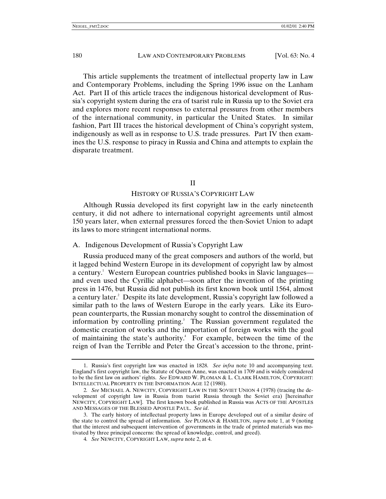This article supplements the treatment of intellectual property law in Law and Contemporary Problems, including the Spring 1996 issue on the Lanham Act. Part II of this article traces the indigenous historical development of Russia's copyright system during the era of tsarist rule in Russia up to the Soviet era and explores more recent responses to external pressures from other members of the international community, in particular the United States. In similar fashion, Part III traces the historical development of China's copyright system, indigenously as well as in response to U.S. trade pressures. Part IV then examines the U.S. response to piracy in Russia and China and attempts to explain the disparate treatment.

### II

#### HISTORY OF RUSSIA'S COPYRIGHT LAW

Although Russia developed its first copyright law in the early nineteenth century, it did not adhere to international copyright agreements until almost 150 years later, when external pressures forced the then-Soviet Union to adapt its laws to more stringent international norms.

#### A. Indigenous Development of Russia's Copyright Law

Russia produced many of the great composers and authors of the world, but it lagged behind Western Europe in its development of copyright law by almost a century.<sup>1</sup> Western European countries published books in Slavic languages and even used the Cyrillic alphabet—soon after the invention of the printing press in 1476, but Russia did not publish its first known book until 1564, almost a century later.2 Despite its late development, Russia's copyright law followed a similar path to the laws of Western Europe in the early years. Like its European counterparts, the Russian monarchy sought to control the dissemination of information by controlling printing.<sup>3</sup> The Russian government regulated the domestic creation of works and the importation of foreign works with the goal of maintaining the state's authority.<sup>4</sup> For example, between the time of the reign of Ivan the Terrible and Peter the Great's accession to the throne, print-

<sup>1.</sup> Russia's first copyright law was enacted in 1828. *See infra* note 10 and accompanying text. England's first copyright law, the Statute of Queen Anne, was enacted in 1709 and is widely considered to be the first law on authors' rights. *See* EDWARD W. PLOMAN & L. CLARK HAMILTON, COPYRIGHT: INTELLECTUAL PROPERTY IN THE INFORMATION AGE 12 (1980).

<sup>2</sup>*. See* MICHAEL A. NEWCITY, COPYRIGHT LAW IN THE SOVIET UNION 4 (1978) (tracing the development of copyright law in Russia from tsarist Russia through the Soviet era) [hereinafter NEWCITY, COPYRIGHT LAW]. The first known book published in Russia was ACTS OF THE APOSTLES AND MESSAGES OF THE BLESSED APOSTLE PAUL. *See id*.

<sup>3.</sup> The early history of intellectual property laws in Europe developed out of a similar desire of the state to control the spread of information. *See* PLOMAN & HAMILTON, *supra* note 1, at 9 (noting that the interest and subsequent intervention of governments in the trade of printed materials was motivated by three principal concerns: the spread of knowledge, control, and greed).

<sup>4</sup>*. See* NEWCITY, COPYRIGHT LAW, *supra* note 2, at 4.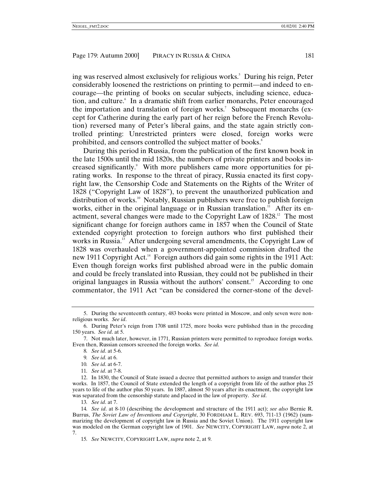ing was reserved almost exclusively for religious works.5 During his reign, Peter considerably loosened the restrictions on printing to permit—and indeed to encourage—the printing of books on secular subjects, including science, education, and culture. In a dramatic shift from earlier monarchs, Peter encouraged the importation and translation of foreign works.<sup>7</sup> Subsequent monarchs (except for Catherine during the early part of her reign before the French Revolution) reversed many of Peter's liberal gains, and the state again strictly controlled printing: Unrestricted printers were closed, foreign works were prohibited, and censors controlled the subject matter of books.<sup>8</sup>

During this period in Russia, from the publication of the first known book in the late 1500s until the mid 1820s, the numbers of private printers and books increased significantly.<sup>9</sup> With more publishers came more opportunities for pirating works. In response to the threat of piracy, Russia enacted its first copyright law, the Censorship Code and Statements on the Rights of the Writer of 1828 ("Copyright Law of 1828"), to prevent the unauthorized publication and distribution of works.<sup>10</sup> Notably, Russian publishers were free to publish foreign works, either in the original language or in Russian translation.<sup>11</sup> After its enactment, several changes were made to the Copyright Law of 1828.<sup>12</sup> The most significant change for foreign authors came in 1857 when the Council of State extended copyright protection to foreign authors who first published their works in Russia.<sup>13</sup> After undergoing several amendments, the Copyright Law of 1828 was overhauled when a government-appointed commission drafted the new 1911 Copyright Act.<sup>14</sup> Foreign authors did gain some rights in the 1911 Act: Even though foreign works first published abroad were in the public domain and could be freely translated into Russian, they could not be published in their original languages in Russia without the authors' consent.<sup>15</sup> According to one commentator, the 1911 Act "can be considered the corner-stone of the devel-

11*. See id*. at 7-8.

13*. See id*. at 7.

<sup>5.</sup> During the seventeenth century, 483 books were printed in Moscow, and only seven were nonreligious works. *See id*.

<sup>6.</sup> During Peter's reign from 1708 until 1725, more books were published than in the preceding 150 years. *See id*. at 5.

<sup>7.</sup> Not much later, however, in 1771, Russian printers were permitted to reproduce foreign works. Even then, Russian censors screened the foreign works. *See id*.

<sup>8</sup>*. See id*. at 5-6.

<sup>9</sup>*. See id*. at 6.

<sup>10</sup>*. See id*. at 6-7.

<sup>12.</sup> In 1830, the Council of State issued a decree that permitted authors to assign and transfer their works. In 1857, the Council of State extended the length of a copyright from life of the author plus 25 years to life of the author plus 50 years. In 1887, almost 50 years after its enactment, the copyright law was separated from the censorship statute and placed in the law of property. *See id*.

<sup>14</sup>*. See id*. at 8-10 (describing the development and structure of the 1911 act); *see also* Bernie R. Burrus, *The Soviet Law of Inventions and Copyright*, 30 FORDHAM L. REV. 693, 711-13 (1962) (summarizing the development of copyright law in Russia and the Soviet Union). The 1911 copyright law was modeled on the German copyright law of 1901. *See* NEWCITY, COPYRIGHT LAW, *supra* note 2, at 7.

<sup>15</sup>*. See* NEWCITY, COPYRIGHT LAW, *supra* note 2, at 9.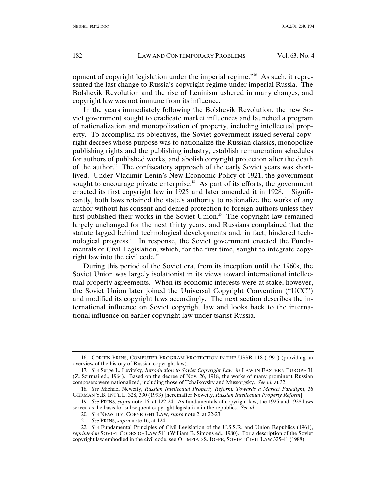opment of copyright legislation under the imperial regime."16 As such, it represented the last change to Russia's copyright regime under imperial Russia. The Bolshevik Revolution and the rise of Leninism ushered in many changes, and copyright law was not immune from its influence.

In the years immediately following the Bolshevik Revolution, the new Soviet government sought to eradicate market influences and launched a program of nationalization and monopolization of property, including intellectual property. To accomplish its objectives, the Soviet government issued several copyright decrees whose purpose was to nationalize the Russian classics, monopolize publishing rights and the publishing industry, establish remuneration schedules for authors of published works, and abolish copyright protection after the death of the author.<sup>17</sup> The confiscatory approach of the early Soviet years was shortlived. Under Vladimir Lenin's New Economic Policy of 1921, the government sought to encourage private enterprise.<sup>18</sup> As part of its efforts, the government enacted its first copyright law in 1925 and later amended it in 1928.<sup>19</sup> Significantly, both laws retained the state's authority to nationalize the works of any author without his consent and denied protection to foreign authors unless they first published their works in the Soviet Union.<sup>20</sup> The copyright law remained largely unchanged for the next thirty years, and Russians complained that the statute lagged behind technological developments and, in fact, hindered technological progress.<sup>21</sup> In response, the Soviet government enacted the Fundamentals of Civil Legislation, which, for the first time, sought to integrate copyright law into the civil code. $22$ 

During this period of the Soviet era, from its inception until the 1960s, the Soviet Union was largely isolationist in its views toward international intellectual property agreements. When its economic interests were at stake, however, the Soviet Union later joined the Universal Copyright Convention ("UCC") and modified its copyright laws accordingly. The next section describes the international influence on Soviet copyright law and looks back to the international influence on earlier copyright law under tsarist Russia.

- 20*. See* NEWCITY, COPYRIGHT LAW, *supra* note 2, at 22-23.
- 21*. See* PRINS, *supra* note 16, at 124.

<sup>16.</sup> CORIEN PRINS, COMPUTER PROGRAM PROTECTION IN THE USSR 118 (1991) (providing an overview of the history of Russian copyright law).

<sup>17</sup>*. See* Serge L. Levitsky, *Introduction to Soviet Copyright Law, in* LAW IN EASTERN EUROPE 31 (Z. Szirmai ed., 1964). Based on the decree of Nov. 26, 1918, the works of many prominent Russian composers were nationalized, including those of Tchaikovsky and Mussorgsky. *See id.* at 32.

<sup>18</sup>*. See* Michael Newcity, *Russian Intellectual Property Reform: Towards a Market Paradigm*, 36 GERMAN Y.B. INT'L L. 328, 330 (1993) [hereinafter Newcity, *Russian Intellectual Property Reform*].

<sup>19</sup>*. See* PRINS, *supra* note 16, at 122-24. As fundamentals of copyright law, the 1925 and 1928 laws served as the basis for subsequent copyright legislation in the republics. *See id*.

<sup>22</sup>*. See* Fundamental Principles of Civil Legislation of the U.S.S.R. and Union Republics (1961), *reprinted in* SOVIET CODES OF LAW 511 (William B. Simons ed., 1980). For a description of the Soviet copyright law embodied in the civil code, see OLIMPIAD S. IOFFE, SOVIET CIVIL LAW 325-41 (1988).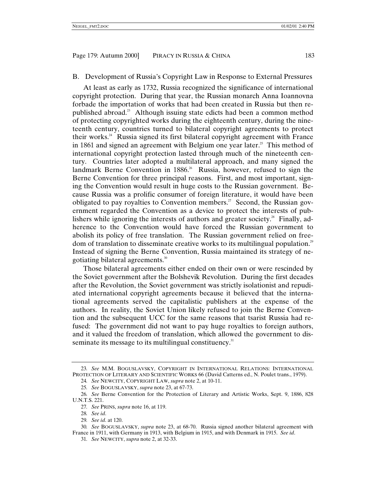#### B. Development of Russia's Copyright Law in Response to External Pressures

At least as early as 1732, Russia recognized the significance of international copyright protection. During that year, the Russian monarch Anna Ioannovna forbade the importation of works that had been created in Russia but then republished abroad.<sup>23</sup> Although issuing state edicts had been a common method of protecting copyrighted works during the eighteenth century, during the nineteenth century, countries turned to bilateral copyright agreements to protect their works. $24$  Russia signed its first bilateral copyright agreement with France in 1861 and signed an agreement with Belgium one year later.<sup>25</sup> This method of international copyright protection lasted through much of the nineteenth century. Countries later adopted a multilateral approach, and many signed the landmark Berne Convention in 1886.<sup>26</sup> Russia, however, refused to sign the Berne Convention for three principal reasons. First, and most important, signing the Convention would result in huge costs to the Russian government. Because Russia was a prolific consumer of foreign literature, it would have been obligated to pay royalties to Convention members.<sup>27</sup> Second, the Russian government regarded the Convention as a device to protect the interests of publishers while ignoring the interests of authors and greater society.<sup>28</sup> Finally, adherence to the Convention would have forced the Russian government to abolish its policy of free translation. The Russian government relied on freedom of translation to disseminate creative works to its multilingual population.<sup>29</sup> Instead of signing the Berne Convention, Russia maintained its strategy of negotiating bilateral agreements.<sup>30</sup>

Those bilateral agreements either ended on their own or were rescinded by the Soviet government after the Bolshevik Revolution. During the first decades after the Revolution, the Soviet government was strictly isolationist and repudiated international copyright agreements because it believed that the international agreements served the capitalistic publishers at the expense of the authors. In reality, the Soviet Union likely refused to join the Berne Convention and the subsequent UCC for the same reasons that tsarist Russia had refused: The government did not want to pay huge royalties to foreign authors, and it valued the freedom of translation, which allowed the government to disseminate its message to its multilingual constituency.<sup>31</sup>

<sup>23</sup>*. See* M.M. BOGUSLAVSKY, COPYRIGHT IN INTERNATIONAL RELATIONS: INTERNATIONAL PROTECTION OF LITERARY AND SCIENTIFIC WORKS 66 (David Catterns ed., N. Poulet trans., 1979).

<sup>24</sup>*. See* NEWCITY, COPYRIGHT LAW, *supra* note 2, at 10-11.

<sup>25</sup>*. See* BOGUSLAVSKY, *supra* note 23, at 67-73.

<sup>26</sup>*. See* Berne Convention for the Protection of Literary and Artistic Works, Sept. 9, 1886, 828 U.N.T.S. 221.

<sup>27</sup>*. See* PRINS, *supra* note 16, at 119.

<sup>28</sup>*. See id*.

<sup>29</sup>*. See id*. at 120.

<sup>30</sup>*. See* BOGUSLAVSKY, *supra* note 23, at 68-70.Russia signed another bilateral agreement with France in 1911, with Germany in 1913, with Belgium in 1915, and with Denmark in 1915. *See id*.

<sup>31</sup>*. See* NEWCITY, *supra* note 2, at 32-33.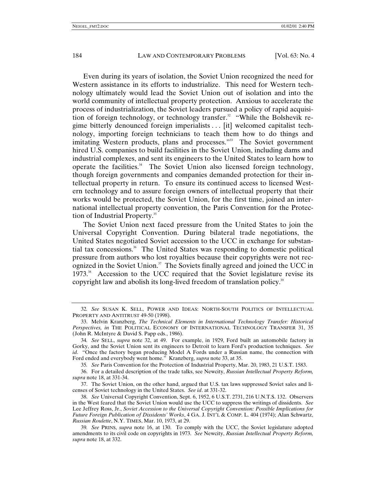Even during its years of isolation, the Soviet Union recognized the need for Western assistance in its efforts to industrialize. This need for Western technology ultimately would lead the Soviet Union out of isolation and into the world community of intellectual property protection. Anxious to accelerate the process of industrialization, the Soviet leaders pursued a policy of rapid acquisition of foreign technology, or technology transfer.<sup>32</sup> "While the Bolshevik regime bitterly denounced foreign imperialists . . . [it] welcomed capitalist technology, importing foreign technicians to teach them how to do things and imitating Western products, plans and processes."<sup>33</sup> The Soviet government hired U.S. companies to build facilities in the Soviet Union, including dams and industrial complexes, and sent its engineers to the United States to learn how to operate the facilities. $34$  The Soviet Union also licensed foreign technology, though foreign governments and companies demanded protection for their intellectual property in return. To ensure its continued access to licensed Western technology and to assure foreign owners of intellectual property that their works would be protected, the Soviet Union, for the first time, joined an international intellectual property convention, the Paris Convention for the Protection of Industrial Property.<sup>35</sup>

The Soviet Union next faced pressure from the United States to join the Universal Copyright Convention. During bilateral trade negotiations, the United States negotiated Soviet accession to the UCC in exchange for substantial tax concessions. $36\text{ }$  The United States was responding to domestic political pressure from authors who lost royalties because their copyrights were not recognized in the Soviet Union. $37$  The Soviets finally agreed and joined the UCC in 1973<sup>38</sup> Accession to the UCC required that the Soviet legislature revise its copyright law and abolish its long-lived freedom of translation policy.<sup>39</sup>

<sup>32</sup>*. See* SUSAN K. SELL, POWER AND IDEAS: NORTH-SOUTH POLITICS OF INTELLECTUAL PROPERTY AND ANTITRUST 49-50 (1998).

<sup>33.</sup> Melvin Kranzberg, *The Technical Elements in International Technology Transfer: Historical Perspectives, in* THE POLITICAL ECONOMY OF INTERNATIONAL TECHNOLOGY TRANSFER 31, 35 (John R. McIntyre & David S. Papp eds., 1986).

<sup>34</sup>*. See* SELL, *supra* note 32, at 49. For example, in 1929, Ford built an automobile factory in Gorky, and the Soviet Union sent its engineers to Detroit to learn Ford's production techniques. *See id*. "Once the factory began producing Model A Fords under a Russian name, the connection with Ford ended and everybody went home." Kranzberg, *supra* note 33, at 35.

<sup>35</sup>*. See* Paris Convention for the Protection of Industrial Property, Mar. 20, 1983, 21 U.S.T. 1583.

<sup>36.</sup> For a detailed description of the trade talks, see Newcity, *Russian Intellectual Property Reform, supra* note 18, at 331-34.

<sup>37.</sup> The Soviet Union, on the other hand, argued that U.S. tax laws suppressed Soviet sales and licenses of Soviet technology in the United States. *See id*. at 331-32.

<sup>38.</sup> *See* Universal Copyright Convention, Sept. 6, 1952, 6 U.S.T. 2731, 216 U.N.T.S. 132. Observers in the West feared that the Soviet Union would use the UCC to suppress the writings of dissidents. *See* Lee Jeffrey Ross, Jr., *Soviet Accession to the Universal Copyright Convention: Possible Implications for Future Foreign Publication of Dissidents' Works*, 4 GA. J. INT'L & COMP. L. 404 (1974); Alan Schwartz, *Russian Roulette*, N.Y. TIMES, Mar. 10, 1973, at 29.

<sup>39</sup>*. See* PRINS, *supra* note 16, at 130. To comply with the UCC, the Soviet legislature adopted amendments to its civil code on copyrights in 1973. *See* Newcity, *Russian Intellectual Property Reform, supra* note 18, at 332.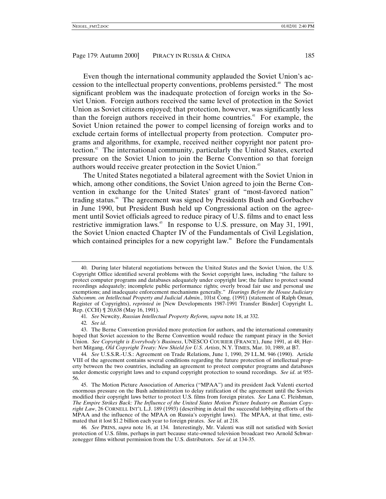Even though the international community applauded the Soviet Union's accession to the intellectual property conventions, problems persisted.<sup>40</sup> The most significant problem was the inadequate protection of foreign works in the Soviet Union. Foreign authors received the same level of protection in the Soviet Union as Soviet citizens enjoyed; that protection, however, was significantly less than the foreign authors received in their home countries.<sup>41</sup> For example, the Soviet Union retained the power to compel licensing of foreign works and to exclude certain forms of intellectual property from protection. Computer programs and algorithms, for example, received neither copyright nor patent protection.42 The international community, particularly the United States, exerted pressure on the Soviet Union to join the Berne Convention so that foreign authors would receive greater protection in the Soviet Union.<sup>43</sup>

The United States negotiated a bilateral agreement with the Soviet Union in which, among other conditions, the Soviet Union agreed to join the Berne Convention in exchange for the United States' grant of "most-favored nation" trading status.<sup>44</sup> The agreement was signed by Presidents Bush and Gorbachev in June 1990, but President Bush held up Congressional action on the agreement until Soviet officials agreed to reduce piracy of U.S. films and to enact less restrictive immigration laws.45 In response to U.S. pressure, on May 31, 1991, the Soviet Union enacted Chapter IV of the Fundamentals of Civil Legislation, which contained principles for a new copyright law.<sup>46</sup> Before the Fundamentals

42*. See id*.

<sup>40.</sup> During later bilateral negotiations between the United States and the Soviet Union, the U.S. Copyright Office identified several problems with the Soviet copyright laws, including "the failure to protect computer programs and databases adequately under copyright law; the failure to protect sound recordings adequately; incomplete public performance rights; overly broad fair use and personal use exemptions; and inadequate enforcement mechanisms generally." *Hearings Before the House Judiciary Subcomm. on Intellectual Property and Judicial Admin.*, 101st Cong. (1991) (statement of Ralph Oman, Register of Copyrights), *reprinted in* [New Developments 1987-1991 Transfer Binder] Copyright L. Rep. (CCH) ¶ 20,638 (May 16, 1991).

<sup>41</sup>*. See* Newcity, *Russian Intellectual Property Reform, supra* note 18, at 332.

<sup>43.</sup> The Berne Convention provided more protection for authors, and the international community hoped that Soviet accession to the Berne Convention would reduce the rampant piracy in the Soviet Union. *See Copyright is Everybody's Business*, UNESCO COURIER (FRANCE), June 1991, at 48; Herbert Mitgang, *Old Copyright Treaty: New Shield for U.S. Artists*, N.Y. TIMES, Mar. 10, 1989, at B7.

<sup>44</sup>*. See* U.S.S.R.-U.S.: Agreement on Trade Relations, June 1, 1990, 29 I.L.M. 946 (1990). Article VIII of the agreement contains several conditions regarding the future protection of intellectual property between the two countries, including an agreement to protect computer programs and databases under domestic copyright laws and to expand copyright protection to sound recordings. *See id*. at 955- 56.

<sup>45.</sup> The Motion Picture Association of America ("MPAA") and its president Jack Valenti exerted enormous pressure on the Bush administration to delay ratification of the agreement until the Soviets modified their copyright laws better to protect U.S. films from foreign pirates. *See* Lana C. Fleishman, *The Empire Strikes Back: The Influence of the United States Motion Picture Industry on Russian Copyright Law*, 26 CORNELL INT'L L.J. 189 (1993) (describing in detail the successful lobbying efforts of the MPAA and the influence of the MPAA on Russia's copyright laws). The MPAA, at that time, estimated that it lost \$1.2 billion each year to foreign pirates. *See id*. at 218.

<sup>46</sup>*. See* PRINS, *supra* note 16, at 134. Interestingly, Mr. Valenti was still not satisfied with Soviet protection of U.S. films, perhaps in part because state-owned television broadcast two Arnold Schwarzenegger films without permission from the U.S. distributors. *See id*. at 134-35.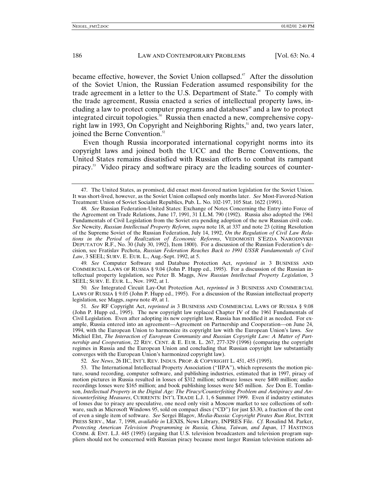became effective, however, the Soviet Union collapsed.<sup> $47$ </sup> After the dissolution of the Soviet Union, the Russian Federation assumed responsibility for the trade agreement in a letter to the U.S. Department of State.<sup>48</sup> To comply with the trade agreement, Russia enacted a series of intellectual property laws, including a law to protect computer programs and databases<sup>49</sup> and a law to protect integrated circuit topologies.<sup>50</sup> Russia then enacted a new, comprehensive copyright law in 1993, On Copyright and Neighboring Rights,<sup>51</sup> and, two years later, joined the Berne Convention.<sup>52</sup>

Even though Russia incorporated international copyright norms into its copyright laws and joined both the UCC and the Berne Conventions, the United States remains dissatisfied with Russian efforts to combat its rampant piracy.53 Video piracy and software piracy are the leading sources of counter-

<sup>47.</sup> The United States, as promised, did enact most-favored nation legislation for the Soviet Union. It was short-lived, however, as the Soviet Union collapsed only months later. *See* Most-Favored-Nation Treatment: Union of Soviet Socialist Republics, Pub. L. No. 102-197, 105 Stat. 1622 (1991).

<sup>48</sup>*. See* Russian Federation-United States: Exchange of Notes Concerning the Entry into Force of the Agreement on Trade Relations, June 17, 1991, 31 I.L.M. 790 (1992). Russia also adopted the 1961 Fundamentals of Civil Legislation from the Soviet era pending adoption of the new Russian civil code. *See* Newcity, *Russian Intellectual Property Reform, supra* note 18, at 337 and note 23 (citing Resolution of the Supreme Soviet of the Russian Federation, July 14, 1992, *On the Regulation of Civil Law Relations in the Period of Realization of Economic Reforms*, VEDOMOSTI S'EZDA NARODNYKH DEPUTATOV R.F., No. 30 (July 30, 1992), Item 1800). For a discussion of the Russian Federation's decision, see Fratislav Pechota, *Russian Federation Reaches Back to 1991 USSR Fundamentals of Civil Law*, 3 SEEL; SURV. E. EUR. L., Aug.-Sept. 1992, at 5.

<sup>49</sup>*. See* Computer Software and Database Protection Act, *reprinted in* 3 BUSINESS AND COMMERCIAL LAWS OF RUSSIA § 9.04 (John P. Hupp ed., 1995). For a discussion of the Russian intellectual property legislation, see Peter B. Maggs, *New Russian Intellectual Property Legislation*, 3 SEEL; SURV. E. EUR. L., Nov. 1992, at 1.

<sup>50</sup>*. See* Integrated Circuit Lay-Out Protection Act, *reprinted in* 3 BUSINESS AND COMMERCIAL LAWS OF RUSSIA § 9.05 (John P. Hupp ed., 1995). For a discussion of the Russian intellectual property legislation, see Maggs, *supra* note 49, at 1.

<sup>51</sup>*. See* RF Copyright Act, *reprinted in* 3 BUSINESS AND COMMERCIAL LAWS OF RUSSIA § 9.08 (John P. Hupp ed., 1995). The new copyright law replaced Chapter IV of the 1961 Fundamentals of Civil Legislation. Even after adopting its new copyright law, Russia has modified it as needed. For example, Russia entered into an agreement—Agreement on Partnership and Cooperation—on June 24, 1994, with the European Union to harmonize its copyright law with the European Union's laws. *See* Michiel Elst, *The Interaction of European Community and Russian Copyright Law: A Matter of Partnership and Cooperation*, 22 REV. CENT. & E. EUR. L. 267, 277-329 (1996) (comparing the copyright regimes in Russia and the European Union and concluding that Russian copyright law substantially converges with the European Union's harmonized copyright law).

<sup>52</sup>*. See News*, 26 IIC, INT'L REV. INDUS. PROP. & COPYRIGHT L. 451, 455 (1995).

<sup>53.</sup> The International Intellectual Property Association ("IIPA"), which represents the motion picture, sound recording, computer software, and publishing industries, estimated that in 1997, piracy of motion pictures in Russia resulted in losses of \$312 million; software losses were \$400 million; audio recordings losses were \$165 million; and book publishing losses were \$45 million. *See* Don E. Tomlinson, *Intellectual Property in the Digital Age: The Piracy/Counterfeiting Problem and Antipiracy and Anticounterfeiting Measures*, CURRENTS: INT'L TRADE L.J. 1, 6 Summer 1999. Even if industry estimates of losses due to piracy are speculative, one need only visit a Moscow market to see collections of software, such as Microsoft Windows 95, sold on compact discs ("CD") for just \$3.30, a fraction of the cost of even a single item of software. *See* Sergei Blagov, *Media-Russia: Copyright Pirates Run Riot*, INTER PRESS SERV., Mar. 7, 1998, *available in* LEXIS, News Library, INPRES File. *Cf.* Rosalind M. Parker, *Protecting American Television Programming in Russia, China, Taiwan, and Japan*, 17 HASTINGS COMM.  $\&$  ENT. L.J. 445 (1995) (arguing that U.S. television broadcasters and television program suppliers should not be concerned with Russian piracy because most larger Russian television stations ad-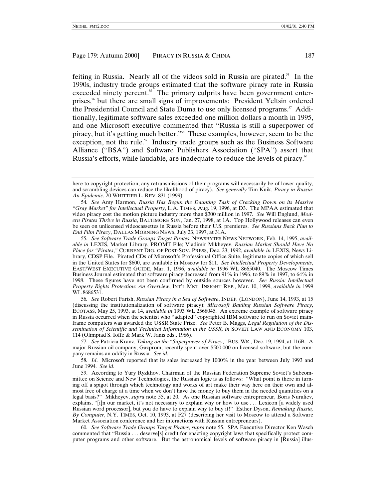feiting in Russia. Nearly all of the videos sold in Russia are pirated.54 In the 1990s, industry trade groups estimated that the software piracy rate in Russia exceeded ninety percent. $55$  The primary culprits have been government enterprises,56 but there are small signs of improvements: President Yeltsin ordered the Presidential Council and State Duma to use only licensed programs.<sup>57</sup> Additionally, legitimate software sales exceeded one million dollars a month in 1995, and one Microsoft executive commented that "Russia is still a superpower of piracy, but it's getting much better."<sup>58</sup> These examples, however, seem to be the exception, not the rule.<sup>59</sup> Industry trade groups such as the Business Software Alliance ("BSA") and Software Publishers Association ("SPA") assert that Russia's efforts, while laudable, are inadequate to reduce the levels of piracy.<sup>60</sup>

56*. See* Robert Farish, *Russian Piracy in a Sea of Software*, INDEP. (LONDON), June 14, 1993, at 15 (discussing the institutionalization of software piracy); *Microsoft Battling Russian Software Piracy*, ECOTASS, May 25, 1993, at 14, *available in* 1993 WL 2568045. An extreme example of software piracy in Russia occurred when the scientist who "adapted" copyrighted IBM software to run on Soviet mainframe computers was awarded the USSR State Prize. *See* Peter B. Maggs, *Legal Regulation of the Dissemination of Scientific and Technical Information in the USSR, in* SOVIET LAW AND ECONOMY 103, 114 (Olimpiad S. Ioffe & Mark W. Janis eds., 1986).

57*. See* Patricia Kranz, *Taking on the "Superpower of Piracy*,*"* BUS. WK., Dec. 19, 1994, at 116B. A major Russian oil company, Gazprom, recently spent over \$500,000 on licensed software, but the company remains an oddity in Russia. *See id*.

58*. Id*. Microsoft reported that its sales increased by 1000% in the year between July 1993 and June 1994. *See id*.

59. According to Yury Ryzkhov, Chairman of the Russian Federation Supreme Soviet's Subcommittee on Science and New Technologies, the Russian logic is as follows: "What point is there in turning off a spigot through which technology and works of art make their way here on their own and almost free of charge at a time when we don't have the money to buy them in the needed quantities on a legal basis?" Mikheyev, *supra* note 55, at 20. As one Russian software entrepreneur, Boris Nuraliev, explains, "[i]n our market, it's not necessary to explain why or how to use . . . Lexicon [a widely used Russian word processor], but you do have to explain why to buy it!" Esther Dyson, *Remaking Russia, By Computer*, N.Y. TIMES, Oct. 10, 1993, at F27 (describing her visit to Moscow to attend a Software Market Association conference and her interactions with Russian entrepreneurs).

60*. See Software Trade Groups Target Pirates*, *supra* note 55. SPA Executive Director Ken Wasch commented that "Russia . . . deserve[s] credit for enacting copyright laws that specifically protect computer programs and other software. But the astronomical levels of software piracy in [Russia] illus-

here to copyright protection, any retransmissions of their programs will necessarily be of lower quality, and scrambling devices can reduce the likelihood of piracy). *See generally* Tim Kuik, *Piracy in Russia: An Epidemic*, 20 WHITTIER L. REV. 831 (1999).

<sup>54</sup>*. See* Amy Harmon, *Russia Has Begun the Daunting Task of Cracking Down on its Massive "Gray Market" for Intellectual Property*, L.A. TIMES, Aug. 19, 1996, at D3. The MPAA estimated that video piracy cost the motion picture industry more than \$300 million in 1997. *See* Will Englund, *Modern Pirates Thrive in Russia*, BALTIMORE SUN, Jan. 27, 1998, at 1A. Top Hollywood releases can even be seen on unlicensed videocassettes in Russia before their U.S. premieres. *See Russians Back Plan to End Film Piracy*, DALLAS MORNING NEWS, July 23, 1997, at 31A.

<sup>55</sup>*. See Software Trade Groups Target Pirates*, NEWSBYTES NEWS NETWORK, Feb. 14, 1995, *available in* LEXIS, Market Library, PROMT File; Vladimir Mikheyev, *Russian Market Should Have No Place for "Pirates*,*"* CURRENT DIG. OF POST-SOV. PRESS, Dec. 23, 1992, *available in* LEXIS, News Library, CDSP File. Pirated CDs of Microsoft's Professional Office Suite, legitimate copies of which sell in the United States for \$600, are available in Moscow for \$11. *See Intellectual Property Developments*, EAST/WEST EXECUTIVE GUIDE, Mar. 1, 1996, *available in* 1996 WL 8665040. The Moscow Times Business Journal estimated that software piracy decreased from 91% in 1996, to 89% in 1997, to 64% in 1998. These figures have not been confirmed by outside sources however. *See Russia: Intellectual Property Rights Protection: An Overview*, INT'L MKT. INSIGHT REP., Mar. 10, 1999, *available in* 1999 WL 8686531.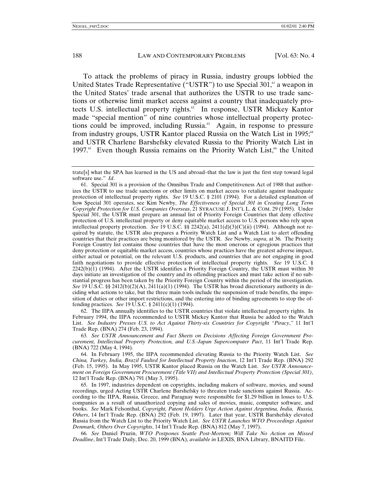To attack the problems of piracy in Russia, industry groups lobbied the United States Trade Representative ("USTR") to use Special 301,<sup>61</sup> a weapon in the United States' trade arsenal that authorizes the USTR to use trade sanctions or otherwise limit market access against a country that inadequately protects U.S. intellectual property rights.<sup>62</sup> In response, USTR Mickey Kantor made "special mention" of nine countries whose intellectual property protections could be improved, including Russia.<sup>63</sup> Again, in response to pressure from industry groups, USTR Kantor placed Russia on the Watch List in 1995;<sup>64</sup> and USTR Charlene Barshefsky elevated Russia to the Priority Watch List in 1997.<sup>65</sup> Even though Russia remains on the Priority Watch List,<sup>66</sup> the United

62. The IIPA annually identifies to the USTR countries that violate intellectual property rights. In February 1994, the IIPA recommended to USTR Mickey Kantor that Russia be added to the Watch List. *See Industry Presses U.S. to Act Against Thirty-six Countries for Copyright "Piracy*,*"* 11 Int'l Trade Rep. (BNA) 274 (Feb. 23, 1994).

63*. See USTR Announcement and Fact Sheets on Decisions Affecting Foreign Government Procurement, Intellectual Property Protection, and U.S.-Japan Supercomputer Pact*, 11 Int'l Trade Rep. (BNA) 722 (May 4, 1994).

64. In February 1995, the IIPA recommended elevating Russia to the Priority Watch List. *See China, Turkey, India, Brazil Faulted for Intellectual Property Inaction*, 12 Int'l Trade Rep. (BNA) 292 (Feb. 15, 1995). In May 1995, USTR Kantor placed Russia on the Watch List. *See USTR Announcement on Foreign Government Procurement (Title VII) and Intellectual Property Protection (Special 301)*, 12 Int'l Trade Rep. (BNA) 791 (May 3, 1995).

65. In 1997, industries dependent on copyrights, including makers of software, movies, and sound recordings, urged Acting USTR Charlene Barshefsky to threaten trade sanctions against Russia. According to the IIPA, Russia, Greece, and Paraguay were responsible for \$1.29 billion in losses to U.S. companies as a result of unauthorized copying and sales of movies, music, computer software, and books. *See* Mark Felsonthal, *Copyright, Patent Holders Urge Action Against Argentina, India, Russia, Others*, 14 Int'l Trade Rep. (BNA) 292 (Feb. 19, 1997). Later that year, USTR Barshefsky elevated Russia from the Watch List to the Priority Watch List. *See USTR Launches WTO Proceedings Against Denmark, Others Over Copyrights*, 14 Int'l Trade Rep. (BNA) 812 (May 7, 1997).

66*. See* Daniel Pruzin, *WTO Postpones Seattle Post-Mortem; Will Take No Action on Missed Deadline*, Int'l Trade Daily, Dec. 20, 1999 (BNA), *available in* LEXIS, BNA Library, BNAITD File.

trate[s] what the SPA has learned in the US and abroad–that the law is just the first step toward legal software use." *Id*.

<sup>61.</sup> Special 301 is a provision of the Omnibus Trade and Competitiveness Act of 1988 that authorizes the USTR to use trade sanctions or other limits on market access to retaliate against inadequate protection of intellectual property rights. *See* 19 U.S.C. § 2101 (1994). For a detailed explanation of how Special 301 operates, see Kim Newby, *The Effectiveness of Special 301 in Creating Long Term Copyright Protection for U.S. Companies Overseas*, 21 SYRACUSE J. INT'L L. & COM. 29 (1995). Under Special 301, the USTR must prepare an annual list of Priority Foreign Countries that deny effective protection of U.S. intellectual property or deny equitable market access to U.S. persons who rely upon intellectual property protection. *See* 19 U.S.C. §§ 2242(a), 2411(d)(3)(C)(ii) (1994). Although not required by statute, the USTR also prepares a Priority Watch List and a Watch List to alert offending countries that their practices are being monitored by the USTR. *See* Newby, *supra*, at 36. The Priority Foreign Country list contains those countries that have the most onerous or egregious practices that deny protection or equitable market access, countries whose practices have the greatest adverse impact, either actual or potential, on the relevant U.S. products, and countries that are not engaging in good faith negotiations to provide effective protection of intellectual property rights. *See* 19 U.S.C. §  $2242(b)(1)$  (1994). After the USTR identifies a Priority Foreign Country, the USTR must within 30 days initiate an investigation of the country and its offending practices and must take action if no substantial progress has been taken by the Priority Foreign Country within the period of the investigation. *See* 19 U.S.C. §§ 2412(b)(2)(A), 2411(a)(1) (1994). The USTR has broad discretionary authority in deciding what actions to take, but the three main tools include the suspension of trade benefits, the imposition of duties or other import restrictions, and the entering into of binding agreements to stop the offending practices. *See* 19 U.S.C. § 2411(c)(1) (1994).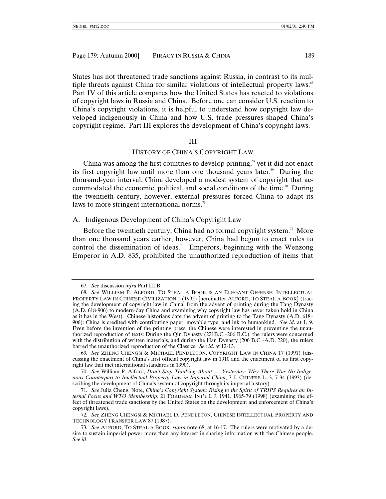States has not threatened trade sanctions against Russia, in contrast to its multiple threats against China for similar violations of intellectual property laws.<sup> $\sigma$ </sup> Part IV of this article compares how the United States has reacted to violations of copyright laws in Russia and China. Before one can consider U.S. reaction to China's copyright violations, it is helpful to understand how copyright law developed indigenously in China and how U.S. trade pressures shaped China's copyright regime. Part III explores the development of China's copyright laws.

#### III

# HISTORY OF CHINA'S COPYRIGHT LAW

China was among the first countries to develop printing, $\frac{8}{3}$  yet it did not enact its first copyright law until more than one thousand years later.<sup> $69$ </sup> During the thousand-year interval, China developed a modest system of copyright that accommodated the economic, political, and social conditions of the time.<sup>70</sup> During the twentieth century, however, external pressures forced China to adapt its laws to more stringent international norms.<sup>71</sup>

#### A. Indigenous Development of China's Copyright Law

Before the twentieth century, China had no formal copyright system.<sup>72</sup> More than one thousand years earlier, however, China had begun to enact rules to control the dissemination of ideas.<sup>73</sup> Emperors, beginning with the Wenzong Emperor in A.D. 835, prohibited the unauthorized reproduction of items that

<sup>67</sup>*. See* discussion *infra* Part III.B.

<sup>68</sup>*. See* WILLIAM P. ALFORD, TO STEAL A BOOK IS AN ELEGANT OFFENSE: INTELLECTUAL PROPERTY LAW IN CHINESE CIVILIZATION 1 (1995) [hereinafter ALFORD, TO STEAL A BOOK] (tracing the development of copyright law in China, from the advent of printing during the Tang Dynasty (A.D. 618-906) to modern-day China and examining why copyright law has never taken hold in China as it has in the West). Chinese historians date the advent of printing to the Tang Dynasty (A.D. 618– 906): China is credited with contributing paper, movable type, and ink to humankind. *See id*. at 1, 9. Even before the invention of the printing press, the Chinese were interested in preventing the unauthorized reproduction of texts: During the Qin Dynasty (221B.C.–206 B.C.), the rulers were concerned with the distribution of written materials, and during the Han Dynasty (206 B.C.–A.D. 220), the rulers barred the unauthorized reproduction of the Classics. *See id*. at 12-13.

<sup>69</sup>*. See* ZHENG CHENGSI & MICHAEL PENDLETON, COPYRIGHT LAW IN CHINA 17 (1991) (discussing the enactment of China's first official copyright law in 1910 and the enactment of its first copyright law that met international standards in 1990).

<sup>70</sup>*. See* William P. Alford, *Don't Stop Thinking About . . . Yesterday: Why There Was No Indigenous Counterpart to Intellectual Property Law in Imperial China*, 7 J. CHINESE L. 3, 7-34 (1993) (describing the development of China's system of copyright through its imperial history).

<sup>71</sup>*. See* Julia Cheng, Note, *China's Copyright System: Rising to the Spirit of TRIPS Requires an Internal Focus and WTO Membership*, 21 FORDHAM INT'L L.J. 1941, 1965-79 (1998) (examining the effect of threatened trade sanctions by the United States on the development and enforcement of China's copyright laws).

<sup>72</sup>*. See* ZHENG CHENGSI & MICHAEL D. PENDLETON, CHINESE INTELLECTUAL PROPERTY AND TECHNOLOGY TRANSFER LAW 87 (1987).

<sup>73</sup>*. See* ALFORD, TO STEAL A BOOK*, supra* note 68, at 16-17. The rulers were motivated by a desire to sustain imperial power more than any interest in sharing information with the Chinese people. *See id*.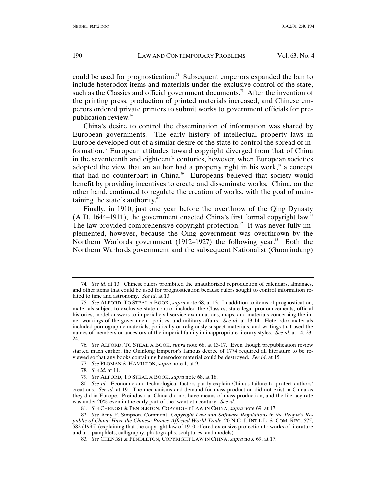could be used for prognostication.<sup>74</sup> Subsequent emperors expanded the ban to include heterodox items and materials under the exclusive control of the state, such as the Classics and official government documents.<sup>75</sup> After the invention of the printing press, production of printed materials increased, and Chinese emperors ordered private printers to submit works to government officials for prepublication review.76

China's desire to control the dissemination of information was shared by European governments. The early history of intellectual property laws in Europe developed out of a similar desire of the state to control the spread of information.<sup> $\pi$ </sup> European attitudes toward copyright diverged from that of China in the seventeenth and eighteenth centuries, however, when European societies adopted the view that an author had a property right in his work, $\alpha$ <sup>8</sup> a concept that had no counterpart in China.<sup>79</sup> Europeans believed that society would benefit by providing incentives to create and disseminate works. China, on the other hand, continued to regulate the creation of works, with the goal of maintaining the state's authority.<sup>80</sup>

Finally, in 1910, just one year before the overthrow of the Qing Dynasty  $(A.D. 1644–1911)$ , the government enacted China's first formal copyright law.<sup>81</sup> The law provided comprehensive copyright protection.<sup>82</sup> It was never fully implemented, however, because the Qing government was overthrown by the Northern Warlords government (1912–1927) the following year.<sup>83</sup> Both the Northern Warlords government and the subsequent Nationalist (Guomindang)

<sup>74</sup>*. See id*. at 13. Chinese rulers prohibited the unauthorized reproduction of calendars, almanacs, and other items that could be used for prognostication because rulers sought to control information related to time and astronomy. *See id*. at 13.

<sup>75</sup>*. See* ALFORD, TO STEAL A BOOK , *supra* note 68, at 13. In addition to items of prognostication, materials subject to exclusive state control included the Classics, state legal pronouncements, official histories, model answers to imperial civil service examinations, maps, and materials concerning the inner workings of the government, politics, and military affairs. *See id*. at 13-14. Heterodox materials included pornographic materials, politically or religiously suspect materials, and writings that used the names of members or ancestors of the imperial family in inappropriate literary styles. *See id*. at 14, 23- 24.

<sup>76</sup>*. See* ALFORD, TO STEAL A BOOK, *supra* note 68, at 13-17. Even though prepublication review started much earlier, the Qianlong Emperor's famous decree of 1774 required all literature to be reviewed so that any books containing heterodox material could be destroyed. *See id*. at 15.

<sup>77</sup>*. See* PLOMAN & HAMILTON, *supra* note 1, at 9.

<sup>78</sup>*. See id*. at 11.

<sup>79</sup>*. See* ALFORD, TO STEAL A BOOK, *supra* note 68, at 18.

<sup>80</sup>*. See id*. Economic and technological factors partly explain China's failure to protect authors' creations. *See id*. at 19. The mechanisms and demand for mass production did not exist in China as they did in Europe. Preindustrial China did not have means of mass production, and the literacy rate was under 20% even in the early part of the twentieth century. *See id*.

<sup>81</sup>*. See* CHENGSI & PENDLETON, COPYRIGHT LAW IN CHINA, *supra* note 69, at 17.

<sup>82</sup>*. See* Amy E. Simpson, Comment, *Copyright Law and Software Regulations in the People's Republic of China: Have the Chinese Pirates Affected World Trade*, 20 N.C. J. INT'L L. & COM. REG. 575, 582 (1995) (explaining that the copyright law of 1910 offered extensive protection to works of literature and art, pamphlets, calligraphy, photographs, sculptures, and models).

<sup>83</sup>*. See* CHENGSI & PENDLETON, COPYRIGHT LAW IN CHINA, *supra* note 69, at 17.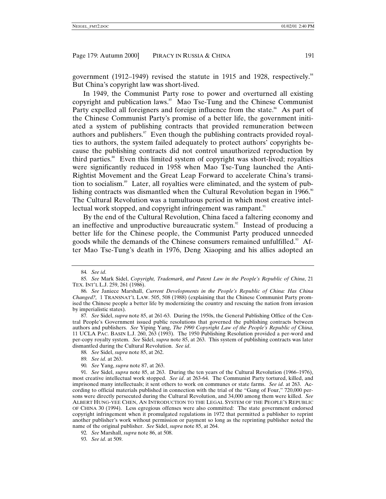government (1912–1949) revised the statute in 1915 and 1928, respectively.<sup>84</sup> But China's copyright law was short-lived.

In 1949, the Communist Party rose to power and overturned all existing copyright and publication laws.<sup>85</sup> Mao Tse-Tung and the Chinese Communist Party expelled all foreigners and foreign influence from the state.<sup>86</sup> As part of the Chinese Communist Party's promise of a better life, the government initiated a system of publishing contracts that provided remuneration between authors and publishers. $\mathbb{S}^{7}$  Even though the publishing contracts provided royalties to authors, the system failed adequately to protect authors' copyrights because the publishing contracts did not control unauthorized reproduction by third parties.<sup>88</sup> Even this limited system of copyright was short-lived; royalties were significantly reduced in 1958 when Mao Tse-Tung launched the Anti-Rightist Movement and the Great Leap Forward to accelerate China's transition to socialism.<sup>89</sup> Later, all royalties were eliminated, and the system of publishing contracts was dismantled when the Cultural Revolution began in 1966.<sup>90</sup> The Cultural Revolution was a tumultuous period in which most creative intellectual work stopped, and copyright infringement was rampant.<sup>91</sup>

By the end of the Cultural Revolution, China faced a faltering economy and an ineffective and unproductive bureaucratic system.<sup>92</sup> Instead of producing a better life for the Chinese people, the Communist Party produced unneeded goods while the demands of the Chinese consumers remained unfulfilled.<sup>93</sup> After Mao Tse-Tung's death in 1976, Deng Xiaoping and his allies adopted an

87*. See* Sidel, *supra* note 85, at 261-63. During the 1950s, the General Publishing Office of the Central People's Government issued public resolutions that governed the publishing contracts between authors and publishers. *See* Yiping Yang, *The 1990 Copyright Law of the People's Republic of China*, 11 UCLA PAC. BASIN L.J. 260, 263 (1993). The 1950 Publishing Resolution provided a per-word and per-copy royalty system. *See* Sidel, *supra* note 85, at 263. This system of publishing contracts was later dismantled during the Cultural Revolution. *See id*.

88*. See* Sidel, *supra* note 85, at 262.

90*. See* Yang, *supra* note 87, at 263.

93*. See id*. at 509.

<sup>84</sup>*. See id*.

<sup>85</sup>*. See* Mark Sidel, *Copyright, Trademark, and Patent Law in the People's Republic of China*, 21 TEX. INT'L L.J. 259, 261 (1986).

<sup>86</sup>*. See* Janiece Marshall, *Current Developments in the People's Republic of China: Has China Changed?,* 1 TRANSNAT'L LAW. 505, 508 (1988) (explaining that the Chinese Communist Party promised the Chinese people a better life by modernizing the country and rescuing the nation from invasion by imperialistic states).

<sup>89</sup>*. See id*. at 263.

<sup>91</sup>*. See* Sidel, *supra* note 85, at 263. During the ten years of the Cultural Revolution (1966–1976), most creative intellectual work stopped. *See id*. at 263-64. The Communist Party tortured, killed, and imprisoned many intellectuals; it sent others to work on communes or state farms. *See id*. at 263. According to official materials published in connection with the trial of the "Gang of Four," 720,000 persons were directly persecuted during the Cultural Revolution, and 34,000 among them were killed. *See* ALBERT HUNG-YEE CHEN, AN INTRODUCTION TO THE LEGAL SYSTEM OF THE PEOPLE'S REPUBLIC OF CHINA 30 (1994). Less egregious offenses were also committed: The state government endorsed copyright infringement when it promulgated regulations in 1972 that permitted a publisher to reprint another publisher's work without permission or payment so long as the reprinting publisher noted the name of the original publisher. *See* Sidel, *supra* note 85, at 264.

<sup>92</sup>*. See* Marshall, *supra* note 86, at 508.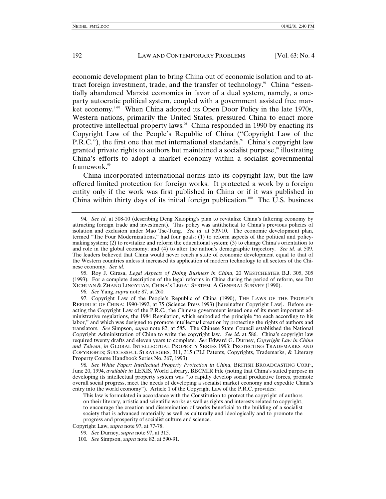economic development plan to bring China out of economic isolation and to attract foreign investment, trade, and the transfer of technology.<sup>94</sup> China "essentially abandoned Marxist economics in favor of a dual system, namely, a oneparty autocratic political system, coupled with a government assisted free market economy."<sup>95</sup> When China adopted its Open Door Policy in the late 1970s, Western nations, primarily the United States, pressured China to enact more protective intellectual property laws.<sup>96</sup> China responded in 1990 by enacting its Copyright Law of the People's Republic of China ("Copyright Law of the P.R.C."), the first one that met international standards. $\mathcal{P}$  China's copyright law granted private rights to authors but maintained a socialist purpose,<sup>88</sup> illustrating China's efforts to adopt a market economy within a socialist governmental framework.<sup>99</sup>

China incorporated international norms into its copyright law, but the law offered limited protection for foreign works. It protected a work by a foreign entity only if the work was first published in China or if it was published in China within thirty days of its initial foreign publication.<sup>100</sup> The U.S. business

95. Roy J. Girasa, *Legal Aspects of Doing Business in China*, 20 WESTCHESTER B.J. 305, 305 (1993). For a complete description of the legal reforms in China during the period of reform, see DU XICHUAN & ZHANG LINGYUAN, CHINA'S LEGAL SYSTEM: A GENERAL SURVEY (1990).

96*. See* Yang, *supra* note 87, at 260.

97. Copyright Law of the People's Republic of China (1990), THE LAWS OF THE PEOPLE'S REPUBLIC OF CHINA: 1990-1992, at 75 (Science Press 1993) [hereinafter Copyright Law]. Before enacting the Copyright Law of the P.R.C., the Chinese government issued one of its most important administrative regulations, the 1984 Regulation, which embodied the principle "to each according to his labor," and which was designed to promote intellectual creation by protecting the rights of authors and translators. *See* Simpson, *supra* note 82, at 585. The Chinese State Council established the National Copyright Administration of China to write the copyright law. *See id*. at 586. China's copyright law required twenty drafts and eleven years to complete. *See* Edward G. Durney, *Copyright Law in China and Taiwan*, *in* GLOBAL INTELLECTUAL PROPERTY SERIES 1993: PROTECTING TRADEMARKS AND COPYRIGHTS; SUCCESSFUL STRATEGIES, 311, 315 (PLI Patents, Copyrights, Trademarks, & Literary Property Course Handbook Series No. 367, 1993).

98*. See White Paper: Intellectual Property Protection in China*, BRITISH BROADCASTING CORP., June 20, 1994, *available in* LEXIS, World Library, BBCMIR File (noting that China's stated purpose in developing its intellectual property system was "to rapidly develop social productive forces, promote overall social progress, meet the needs of developing a socialist market economy and expedite China's entry into the world economy"). Article 1 of the Copyright Law of the P.R.C. provides:

This law is formulated in accordance with the Constitution to protect the copyright of authors on their literary, artistic and scientific works as well as rights and interests related to copyright, to encourage the creation and dissemination of works beneficial to the building of a socialist society that is advanced materially as well as culturally and ideologically and to promote the progress and prosperity of socialist culture and science.

Copyright Law, *supra* note 97, at 77-78.

100*. See* Simpson, *supra* note 82, at 590-91.

<sup>94</sup>*. See id*. at 508-10 (describing Deng Xiaoping's plan to revitalize China's faltering economy by attracting foreign trade and investment). This policy was antithetical to China's previous policies of isolation and exclusion under Mao Tse-Tung. *See id*. at 509-10. The economic development plan, termed "The Four Modernizations," had four goals: (1) to reform aspects of the political and policymaking system; (2) to revitalize and reform the educational system; (3) to change China's orientation to and role in the global economy; and (4) to alter the nation's demographic trajectory. *See id*. at 509. The leaders believed that China would never reach a state of economic development equal to that of the Western countries unless it increased its application of modern technology to all sectors of the Chinese economy. *See id*.

<sup>99</sup>*. See* Durney, *supra* note 97, at 315.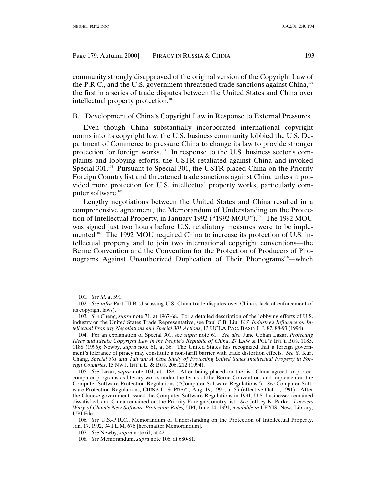community strongly disapproved of the original version of the Copyright Law of the P.R.C., and the U.S. government threatened trade sanctions against China, $101$ the first in a series of trade disputes between the United States and China over intellectual property protection.<sup>102</sup>

### B. Development of China's Copyright Law in Response to External Pressures

Even though China substantially incorporated international copyright norms into its copyright law, the U.S. business community lobbied the U.S. Department of Commerce to pressure China to change its law to provide stronger protection for foreign works. $103$  In response to the U.S. business sector's complaints and lobbying efforts, the USTR retaliated against China and invoked Special  $301.^{104}$  Pursuant to Special 301, the USTR placed China on the Priority Foreign Country list and threatened trade sanctions against China unless it provided more protection for U.S. intellectual property works, particularly computer software.<sup>105</sup>

Lengthy negotiations between the United States and China resulted in a comprehensive agreement, the Memorandum of Understanding on the Protection of Intellectual Property, in January 1992 ("1992 MOU").<sup>106</sup> The 1992 MOU was signed just two hours before U.S. retaliatory measures were to be implemented.<sup>107</sup> The 1992 MOU required China to increase its protection of U.S. intellectual property and to join two international copyright conventions—the Berne Convention and the Convention for the Protection of Producers of Phonograms Against Unauthorized Duplication of Their Phonograms<sup>108</sup>—which

106*. See* U.S.-P.R.C., Memorandum of Understanding on the Protection of Intellectual Property, Jan. 17, 1992, 34 I.L.M. 676 [hereinafter Memorandum].

<sup>101</sup>*. See id*. at 591.

<sup>102</sup>*. See infra* Part III.B (discussing U.S.-China trade disputes over China's lack of enforcement of its copyright laws).

<sup>103</sup>*. See* Cheng, *supra* note 71, at 1967-68. For a detailed description of the lobbying efforts of U.S. industry on the United States Trade Representative, see Paul C.B. Liu, *U.S. Industry's Influence on Intellectual Property Negotiations and Special 301 Actions*, 13 UCLA PAC. BASIN L.J. 87, 88-93 (1994).

<sup>104.</sup> For an explanation of Special 301, see *supra* note 61. *See also* June Cohan Lazar, *Protecting Ideas and Ideals: Copyright Law in the People's Republic of China*, 27 LAW & POL'Y INT'L BUS. 1185, 1188 (1996); Newby, *supra* note 61, at 36. The United States has recognized that a foreign government's tolerance of piracy may constitute a non-tariff barrier with trade distortion effects. *See* Y. Kurt Chang, *Special 301 and Taiwan: A Case Study of Protecting United States Intellectual Property in Foreign Countries*, 15 NW J. INT'L L. & BUS. 206, 212 (1994).

<sup>105</sup>*. See* Lazar, *supra* note 104, at 1188. After being placed on the list, China agreed to protect computer programs as literary works under the terms of the Berne Convention, and implemented the Computer Software Protection Regulations ("Computer Software Regulations"). *See* Computer Software Protection Regulations, CHINA L. & PRAC., Aug. 19, 1991, at 55 (effective Oct. 1, 1991). After the Chinese government issued the Computer Software Regulations in 1991, U.S. businesses remained dissatisfied, and China remained on the Priority Foreign Country list. *See* Jeffrey K. Parker, *Lawyers Wary of China's New Software Protection Rules,* UPI, June 14, 1991, *available in* LEXIS, News Library, UPI File.

<sup>107</sup>*. See* Newby, *supra* note 61, at 42.

<sup>108</sup>*. See* Memorandum, *supra* note 106, at 680-81.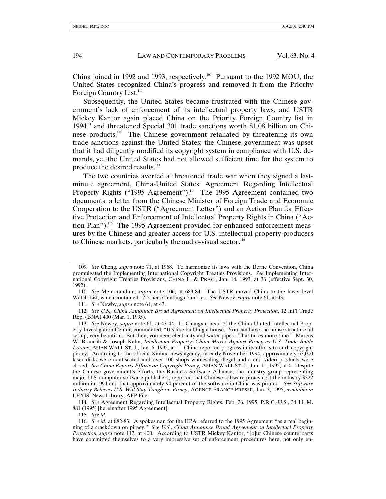China joined in 1992 and 1993, respectively.<sup>109</sup> Pursuant to the 1992 MOU, the United States recognized China's progress and removed it from the Priority Foreign Country List.<sup>110</sup>

Subsequently, the United States became frustrated with the Chinese government's lack of enforcement of its intellectual property laws, and USTR Mickey Kantor again placed China on the Priority Foreign Country list in  $1994<sup>111</sup>$  and threatened Special 301 trade sanctions worth \$1.08 billion on Chinese products.112 The Chinese government retaliated by threatening its own trade sanctions against the United States; the Chinese government was upset that it had diligently modified its copyright system in compliance with U.S. demands, yet the United States had not allowed sufficient time for the system to produce the desired results.<sup>113</sup>

The two countries averted a threatened trade war when they signed a lastminute agreement, China-United States: Agreement Regarding Intellectual Property Rights ("1995 Agreement").<sup>114</sup> The 1995 Agreement contained two documents: a letter from the Chinese Minister of Foreign Trade and Economic Cooperation to the USTR ("Agreement Letter") and an Action Plan for Effective Protection and Enforcement of Intellectual Property Rights in China ("Action Plan").<sup>115</sup> The 1995 Agreement provided for enhanced enforcement measures by the Chinese and greater access for U.S. intellectual property producers to Chinese markets, particularly the audio-visual sector.<sup>116</sup>

111*. See* Newby, *supra* note 61, at 43.

112*. See U.S., China Announce Broad Agreement on Intellectual Property Protection*, 12 Int'l Trade Rep. (BNA) 400 (Mar. 1, 1995).

114*. See* Agreement Regarding Intellectual Property Rights, Feb. 26, 1995, P.R.C.-U.S., 34 I.L.M. 881 (1995) [hereinafter 1995 Agreement].

115*. See id*.

<sup>109</sup>*. See* Cheng, *supra* note 71, at 1968. To harmonize its laws with the Berne Convention, China promulgated the Implementing International Copyright Treaties Provisions. *See* Implementing International Copyright Treaties Provisions, CHINA L. & PRAC., Jan. 14, 1993, at 36 (effective Sept. 30, 1992).

<sup>110</sup>*. See* Memorandum, *supra* note 106, at 683-84. The USTR moved China to the lower-level Watch List, which contained 17 other offending countries. *See* Newby, *supra* note 61, at 43.

<sup>113</sup>*. See* Newby, *supra* note 61, at 43-44. Li Changxu, head of the China United Intellectual Property Investigation Center, commented, "It's like building a house. You can have the house structure all set up, very beautiful. But then, you need electricity and water pipes. That takes more time." Marcus W. Brauchli & Joseph Kahn, *Intellectual Property: China Moves Against Piracy as U.S. Trade Battle Looms*, ASIAN WALL ST. J., Jan. 6, 1995, at 1. China reported progress in its efforts to curb copyright piracy: According to the official Xinhua news agency, in early November 1994, approximately 53,000 laser disks were confiscated and over 100 shops wholesaling illegal audio and video products were closed. *See China Reports Efforts on Copyright Piracy,* ASIAN WALL ST. J., Jan. 11, 1995, at 4. Despite the Chinese government's efforts, the Business Software Alliance, the industry group representing major U.S. computer software publishers, reported that Chinese software piracy cost the industry \$322 million in 1994 and that approximately 94 percent of the software in China was pirated. *See Software Industry Believes U.S. Will Stay Tough on Piracy*, AGENCE FRANCE PRESSE, Jan. 3, 1995, *available in* LEXIS, News Library, AFP File.

<sup>116</sup>*. See id*. at 882-83. A spokesman for the IIPA referred to the 1995 Agreement "as a real beginning of a crackdown on piracy." *See U.S., China Announce Broad Agreement on Intellectual Property Protection*, *supra* note 112, at 400. According to USTR Mickey Kantor, "[o]ur Chinese counterparts have committed themselves to a very impressive set of enforcement procedures here, not only en-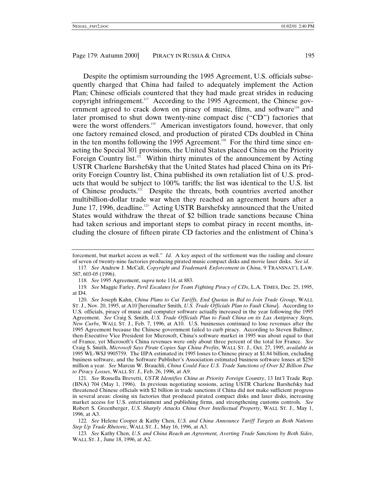Despite the optimism surrounding the 1995 Agreement, U.S. officials subsequently charged that China had failed to adequately implement the Action Plan; Chinese officials countered that they had made great strides in reducing copyright infringement.<sup>117</sup> According to the 1995 Agreement, the Chinese government agreed to crack down on piracy of music, films, and software<sup>118</sup> and later promised to shut down twenty-nine compact disc ("CD") factories that were the worst offenders.<sup>119</sup> American investigators found, however, that only one factory remained closed, and production of pirated CDs doubled in China in the ten months following the 1995 Agreement.<sup>120</sup> For the third time since enacting the Special 301 provisions, the United States placed China on the Priority Foreign Country list.<sup>121</sup> Within thirty minutes of the announcement by Acting USTR Charlene Barshefsky that the United States had placed China on its Priority Foreign Country list, China published its own retaliation list of U.S. products that would be subject to 100% tariffs; the list was identical to the U.S. list of Chinese products.<sup>122</sup> Despite the threats, both countries averted another multibillion-dollar trade war when they reached an agreement hours after a June 17, 1996, deadline.<sup>123</sup> Acting USTR Barshefsky announced that the United States would withdraw the threat of \$2 billion trade sanctions because China had taken serious and important steps to combat piracy in recent months, including the closure of fifteen pirate CD factories and the enlistment of China's

121*. See* Rossella Brevetti, *USTR Identifies China as Priority Foreign Country*, 13 Int'l Trade Rep. (BNA) 704 (May 1, 1996). In previous negotiating sessions, acting USTR Charlene Barshefsky had threatened Chinese officials with \$2 billion in trade sanctions if China did not make sufficient progress in several areas: closing six factories that produced pirated compact disks and laser disks, increasing market access for U.S. entertainment and publishing firms, and strengthening customs controls. *See* Robert S. Greenberger, *U.S. Sharply Attacks China Over Intellectual Property*, WALL ST. J., May 1, 1996, at A3.

122*. See* Helene Cooper & Kathy Chen, *U.S. and China Announce Tariff Targets as Both Nations Step Up Trade Rhetoric*, WALL ST. J., May 16, 1996, at A3.

forcement, but market access as well." *Id.* A key aspect of the settlement was the raiding and closure of seven of twenty-nine factories producing pirated music compact disks and movie laser disks. *See id*.

<sup>117</sup>*. See* Andrew J. McCall, *Copyright and Trademark Enforcement in China*, 9 TRANSNAT'L LAW. 587, 603-05 (1996).

<sup>118</sup>*. See* 1995 Agreement, *supra* note 114, at 883.

<sup>119</sup>*. See* Maggie Farley, *Peril Escalates for Team Fighting Piracy of CDs*, L.A. TIMES, Dec. 25, 1995, at D4.

<sup>120.</sup> *See* Joseph Kahn, *China Plans to Cut Tariffs, End Quotas in Bid to Join Trade Group*, WALL ST. J., Nov. 20, 1995, at A10 [hereinafter Smith, *U.S. Trade Officials Plan to Fault China*]. According to U.S. officials, piracy of music and computer software actually increased in the year following the 1995 Agreement. *See* Craig S. Smith, *U.S. Trade Officials Plan to Fault China on its Lax Antipiracy Steps, New Curbs*, WALL ST. J., Feb. 7, 1996, at A10. U.S. businesses continued to lose revenues after the 1995 Agreement because the Chinese government failed to curb piracy. According to Steven Ballmer, then-Executive Vice President for Microsoft, China's software market in 1995 was about equal to that of France, yet Microsoft's China revenues were only about three percent of the total for France. *See* Craig S. Smith, *Microsoft Says Pirate Copies Sap China Profits*, WALL ST. J., Oct. 27, 1995, *available in* 1995 WL-WSJ 9905759. The IIPA estimated its 1995 losses to Chinese piracy at \$1.84 billion, excluding business software, and the Software Publisher's Association estimated business software losses at \$250 million a year. *See* Marcus W. Brauchli, *China Could Face U.S. Trade Sanctions of Over \$2 Billion Due to Piracy Losses*, WALL ST. J., Feb. 26, 1996, at A9.

<sup>123</sup>*. See* Kathy Chen, *U.S. and China Reach an Agreement, Averting Trade Sanctions by Both Sides*, WALL ST. J., June 18, 1996, at A2.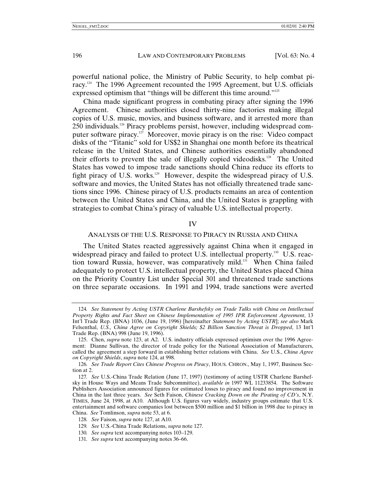powerful national police, the Ministry of Public Security, to help combat piracy.124 The 1996 Agreement recounted the 1995 Agreement, but U.S. officials expressed optimism that "things will be different this time around."<sup>125</sup>

China made significant progress in combating piracy after signing the 1996 Agreement. Chinese authorities closed thirty-nine factories making illegal copies of U.S. music, movies, and business software, and it arrested more than 250 individuals.126 Piracy problems persist, however, including widespread computer software piracy.127 Moreover, movie piracy is on the rise: Video compact disks of the "Titanic" sold for US\$2 in Shanghai one month before its theatrical release in the United States, and Chinese authorities essentially abandoned their efforts to prevent the sale of illegally copied videodisks.<sup>128</sup> The United States has vowed to impose trade sanctions should China reduce its efforts to fight piracy of U.S. works.<sup>129</sup> However, despite the widespread piracy of U.S. software and movies, the United States has not officially threatened trade sanctions since 1996. Chinese piracy of U.S. products remains an area of contention between the United States and China, and the United States is grappling with strategies to combat China's piracy of valuable U.S. intellectual property.

#### IV

# ANALYSIS OF THE U.S. RESPONSE TO PIRACY IN RUSSIA AND CHINA

The United States reacted aggressively against China when it engaged in widespread piracy and failed to protect U.S. intellectual property.<sup>130</sup> U.S. reaction toward Russia, however, was comparatively mild.<sup>131</sup> When China failed adequately to protect U.S. intellectual property, the United States placed China on the Priority Country List under Special 301 and threatened trade sanctions on three separate occasions. In 1991 and 1994, trade sanctions were averted

<sup>124</sup>*. See Statement by Acting USTR Charlene Barshefsky on Trade Talks with China on Intellectual Property Rights and Fact Sheet on Chinese Implementation of 1995 IPR Enforcement Agreement*, 13 Int'l Trade Rep. (BNA) 1036, (June 19, 1996) [hereinafter *Statement by Acting USTR*]; *see also* Mark Felsenthal, *U.S., China Agree on Copyright Shields; \$2 Billion Sanction Threat is Dropped*, 13 Int'l Trade Rep. (BNA) 998 (June 19, 1996).

<sup>125.</sup> Chen, *supra* note 123, at A2. U.S. industry officials expressed optimism over the 1996 Agreement: Dianne Sullivan, the director of trade policy for the National Association of Manufacturers, called the agreement a step forward in establishing better relations with China. *See* U.S., *China Agree on Copyright Shields*, *supra* note 124, at 998.

<sup>126</sup>*. See Trade Report Cites Chinese Progress on Piracy*, HOUS. CHRON., May 1, 1997, Business Section at 2.

<sup>127</sup>*. See* U.S.-China Trade Relation (June 17, 1997) (testimony of acting USTR Charlene Barshefsky in House Ways and Means Trade Subcommittee), *available in* 1997 WL 11233854. The Software Publishers Association announced figures for estimated losses to piracy and found no improvement in China in the last three years. *See* Seth Faison, *Chinese Cracking Down on the Pirating of CD's*, N.Y. TIMES, June 24, 1998, at A10. Although U.S. figures vary widely, industry groups estimate that U.S. entertainment and software companies lost between \$500 million and \$1 billion in 1998 due to piracy in China. *See* Tomlinson, *supra* note 53, at 6.

<sup>128</sup>*. See* Faison, *supra* note 127, at A10.

<sup>129</sup>*. See* U.S.-China Trade Relations, *supra* note 127.

<sup>130</sup>*. See supra* text accompanying notes 103–129.

<sup>131</sup>*. See supra* text accompanying notes 36–66.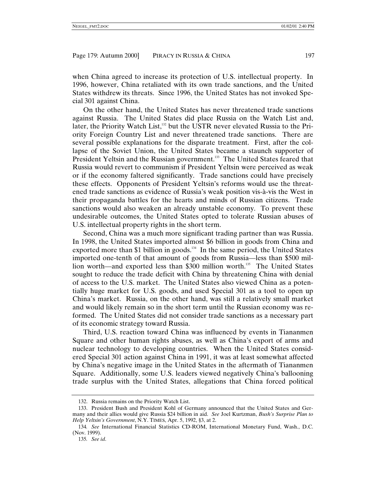when China agreed to increase its protection of U.S. intellectual property. In 1996, however, China retaliated with its own trade sanctions, and the United States withdrew its threats. Since 1996, the United States has not invoked Special 301 against China.

On the other hand, the United States has never threatened trade sanctions against Russia. The United States did place Russia on the Watch List and, later, the Priority Watch List,<sup>132</sup> but the USTR never elevated Russia to the Priority Foreign Country List and never threatened trade sanctions. There are several possible explanations for the disparate treatment. First, after the collapse of the Soviet Union, the United States became a staunch supporter of President Yeltsin and the Russian government.<sup>133</sup> The United States feared that Russia would revert to communism if President Yeltsin were perceived as weak or if the economy faltered significantly. Trade sanctions could have precisely these effects. Opponents of President Yeltsin's reforms would use the threatened trade sanctions as evidence of Russia's weak position vis-à-vis the West in their propaganda battles for the hearts and minds of Russian citizens. Trade sanctions would also weaken an already unstable economy. To prevent these undesirable outcomes, the United States opted to tolerate Russian abuses of U.S. intellectual property rights in the short term.

Second, China was a much more significant trading partner than was Russia. In 1998, the United States imported almost \$6 billion in goods from China and exported more than \$1 billion in goods.<sup>134</sup> In the same period, the United States imported one-tenth of that amount of goods from Russia—less than \$500 million worth—and exported less than \$300 million worth.<sup>135</sup> The United States sought to reduce the trade deficit with China by threatening China with denial of access to the U.S. market. The United States also viewed China as a potentially huge market for U.S. goods, and used Special 301 as a tool to open up China's market. Russia, on the other hand, was still a relatively small market and would likely remain so in the short term until the Russian economy was reformed. The United States did not consider trade sanctions as a necessary part of its economic strategy toward Russia.

Third, U.S. reaction toward China was influenced by events in Tiananmen Square and other human rights abuses, as well as China's export of arms and nuclear technology to developing countries. When the United States considered Special 301 action against China in 1991, it was at least somewhat affected by China's negative image in the United States in the aftermath of Tiananmen Square. Additionally, some U.S. leaders viewed negatively China's ballooning trade surplus with the United States, allegations that China forced political

<sup>132.</sup> Russia remains on the Priority Watch List.

<sup>133.</sup> President Bush and President Kohl of Germany announced that the United States and Germany and their allies would give Russia \$24 billion in aid. *See* Joel Kurtzman, *Bush's Surprise Plan to Help Yeltsin's Government*, N.Y. TIMES, Apr. 5, 1992, §3, at 2.

<sup>134</sup>*. See* International Financial Statistics CD-ROM, International Monetary Fund, Wash., D.C. (Nov. 1999).

<sup>135</sup>*. See id*.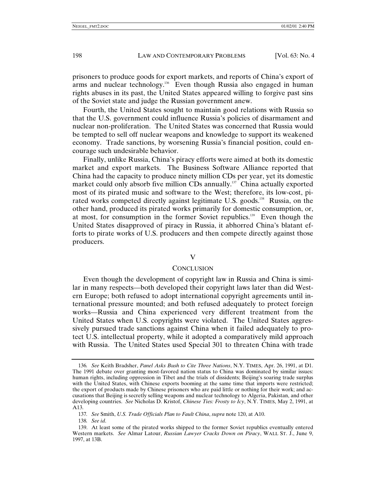prisoners to produce goods for export markets, and reports of China's export of arms and nuclear technology.<sup>136</sup> Even though Russia also engaged in human rights abuses in its past, the United States appeared willing to forgive past sins of the Soviet state and judge the Russian government anew.

Fourth, the United States sought to maintain good relations with Russia so that the U.S. government could influence Russia's policies of disarmament and nuclear non-proliferation. The United States was concerned that Russia would be tempted to sell off nuclear weapons and knowledge to support its weakened economy. Trade sanctions, by worsening Russia's financial position, could encourage such undesirable behavior.

Finally, unlike Russia, China's piracy efforts were aimed at both its domestic market and export markets. The Business Software Alliance reported that China had the capacity to produce ninety million CDs per year, yet its domestic market could only absorb five million CDs annually.<sup>137</sup> China actually exported most of its pirated music and software to the West; therefore, its low-cost, pirated works competed directly against legitimate U.S. goods.<sup>138</sup> Russia, on the other hand, produced its pirated works primarily for domestic consumption, or, at most, for consumption in the former Soviet republics.139 Even though the United States disapproved of piracy in Russia, it abhorred China's blatant efforts to pirate works of U.S. producers and then compete directly against those producers.

V

#### **CONCLUSION**

Even though the development of copyright law in Russia and China is similar in many respects—both developed their copyright laws later than did Western Europe; both refused to adopt international copyright agreements until international pressure mounted; and both refused adequately to protect foreign works—Russia and China experienced very different treatment from the United States when U.S. copyrights were violated. The United States aggressively pursued trade sanctions against China when it failed adequately to protect U.S. intellectual property, while it adopted a comparatively mild approach with Russia. The United States used Special 301 to threaten China with trade

138*. See id*.

<sup>136</sup>*. See* Keith Bradsher, *Panel Asks Bush to Cite Three Nations*, N.Y. TIMES, Apr. 26, 1991, at D1. The 1991 debate over granting most-favored nation status to China was dominated by similar issues: human rights, including oppression in Tibet and the trials of dissidents; Beijing's soaring trade surplus with the United States, with Chinese exports booming at the same time that imports were restricted; the export of products made by Chinese prisoners who are paid little or nothing for their work; and accusations that Beijing is secretly selling weapons and nuclear technology to Algeria, Pakistan, and other developing countries. *See* Nicholas D. Kristof, *Chinese Ties: Frosty to Icy*, N.Y. TIMES, May 2, 1991, at A13.

<sup>137</sup>*. See* Smith, *U.S. Trade Officials Plan to Fault China*, *supra* note 120, at A10.

<sup>139.</sup> At least some of the pirated works shipped to the former Soviet republics eventually entered Western markets. *See* Almar Latour, *Russian Lawyer Cracks Down on Piracy*, WALL ST. J., June 9, 1997, at 13B.